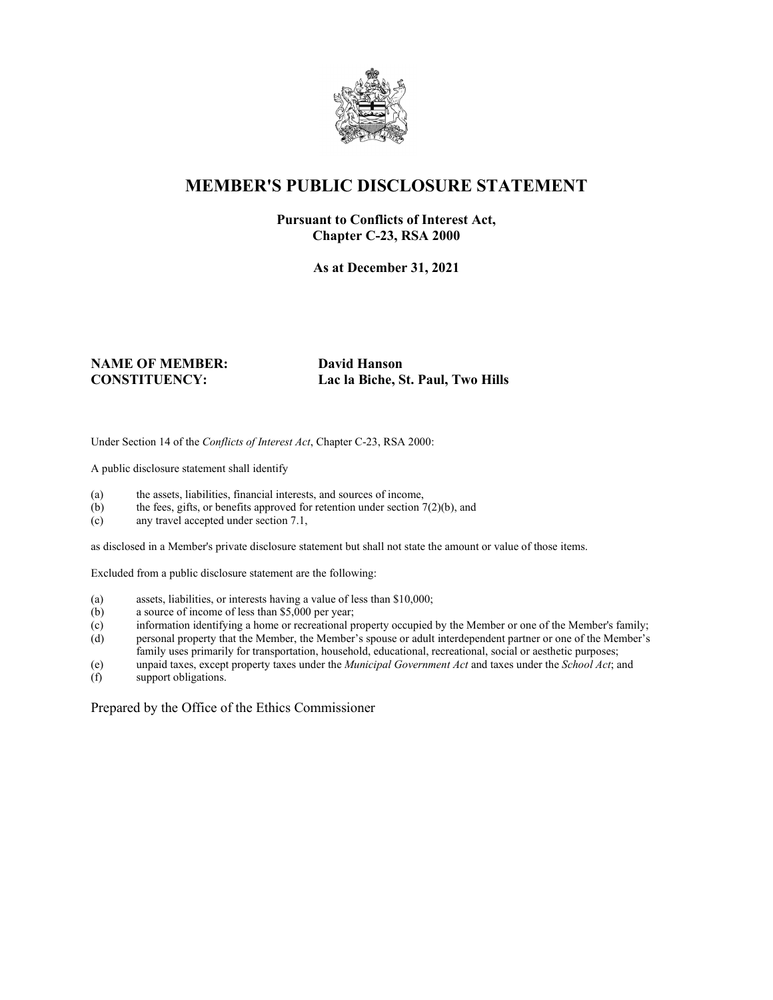

## **MEMBER'S PUBLIC DISCLOSURE STATEMENT**

#### **Pursuant to Conflicts of Interest Act, Chapter C-23, RSA 2000**

**As at December 31, 2021**

# **NAME OF MEMBER: David Hanson**

**CONSTITUENCY: Lac la Biche, St. Paul, Two Hills**

Under Section 14 of the *Conflicts of Interest Act*, Chapter C-23, RSA 2000:

A public disclosure statement shall identify

- (a) the assets, liabilities, financial interests, and sources of income,
- (b) the fees, gifts, or benefits approved for retention under section  $7(2)(b)$ , and
- (c) any travel accepted under section 7.1,

as disclosed in a Member's private disclosure statement but shall not state the amount or value of those items.

Excluded from a public disclosure statement are the following:

- (a) assets, liabilities, or interests having a value of less than \$10,000;
- (b) a source of income of less than \$5,000 per year;
- (c) information identifying a home or recreational property occupied by the Member or one of the Member's family;
- (d) personal property that the Member, the Member's spouse or adult interdependent partner or one of the Member's family uses primarily for transportation, household, educational, recreational, social or aesthetic purposes;
- (e) unpaid taxes, except property taxes under the *Municipal Government Act* and taxes under the *School Act*; and
- support obligations.

Prepared by the Office of the Ethics Commissioner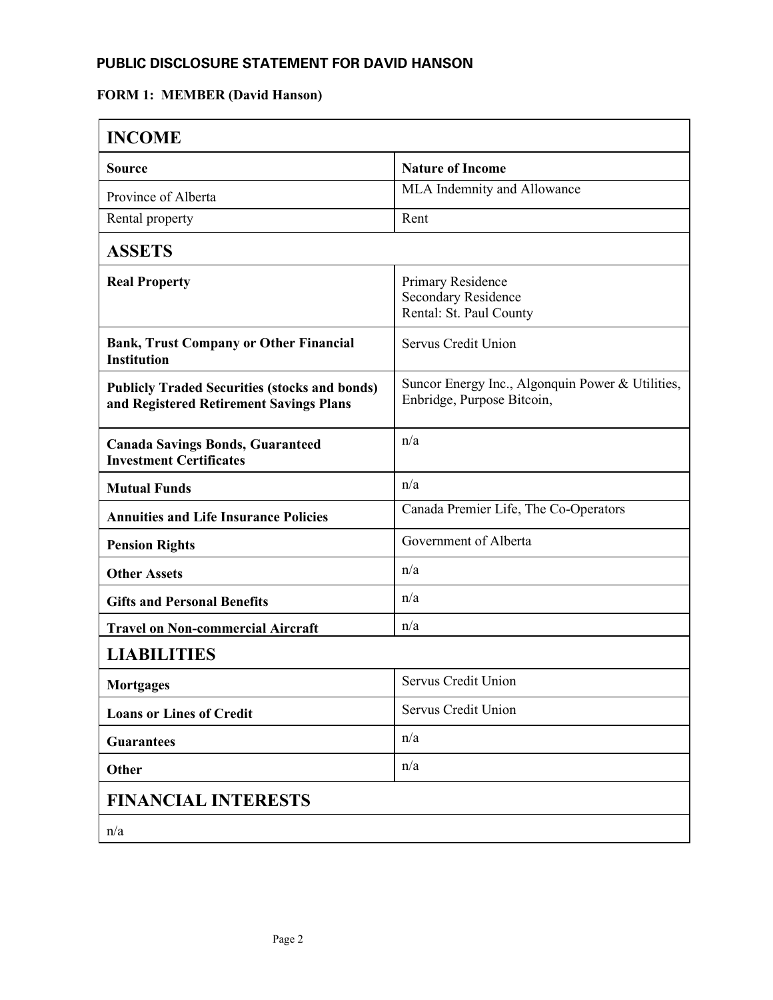## **PUBLIC DISCLOSURE STATEMENT FOR DAVID HANSON**

## **FORM 1: MEMBER (David Hanson)**

| <b>INCOME</b>                                                                                   |                                                                                |  |
|-------------------------------------------------------------------------------------------------|--------------------------------------------------------------------------------|--|
| Source                                                                                          | <b>Nature of Income</b>                                                        |  |
| Province of Alberta                                                                             | MLA Indemnity and Allowance                                                    |  |
| Rental property                                                                                 | Rent                                                                           |  |
| <b>ASSETS</b>                                                                                   |                                                                                |  |
| <b>Real Property</b>                                                                            | Primary Residence<br><b>Secondary Residence</b><br>Rental: St. Paul County     |  |
| <b>Bank, Trust Company or Other Financial</b><br><b>Institution</b>                             | Servus Credit Union                                                            |  |
| <b>Publicly Traded Securities (stocks and bonds)</b><br>and Registered Retirement Savings Plans | Suncor Energy Inc., Algonquin Power & Utilities,<br>Enbridge, Purpose Bitcoin, |  |
| <b>Canada Savings Bonds, Guaranteed</b><br><b>Investment Certificates</b>                       | n/a                                                                            |  |
| <b>Mutual Funds</b>                                                                             | n/a                                                                            |  |
| <b>Annuities and Life Insurance Policies</b>                                                    | Canada Premier Life, The Co-Operators                                          |  |
| <b>Pension Rights</b>                                                                           | Government of Alberta                                                          |  |
| <b>Other Assets</b>                                                                             | n/a                                                                            |  |
| <b>Gifts and Personal Benefits</b>                                                              | n/a                                                                            |  |
| <b>Travel on Non-commercial Aircraft</b>                                                        | n/a                                                                            |  |
| <b>LIABILITIES</b>                                                                              |                                                                                |  |
| Mortgages                                                                                       | Servus Credit Union                                                            |  |
| <b>Loans or Lines of Credit</b>                                                                 | Servus Credit Union                                                            |  |
| <b>Guarantees</b>                                                                               | n/a                                                                            |  |
| Other                                                                                           | n/a                                                                            |  |
| <b>FINANCIAL INTERESTS</b>                                                                      |                                                                                |  |
| n/a                                                                                             |                                                                                |  |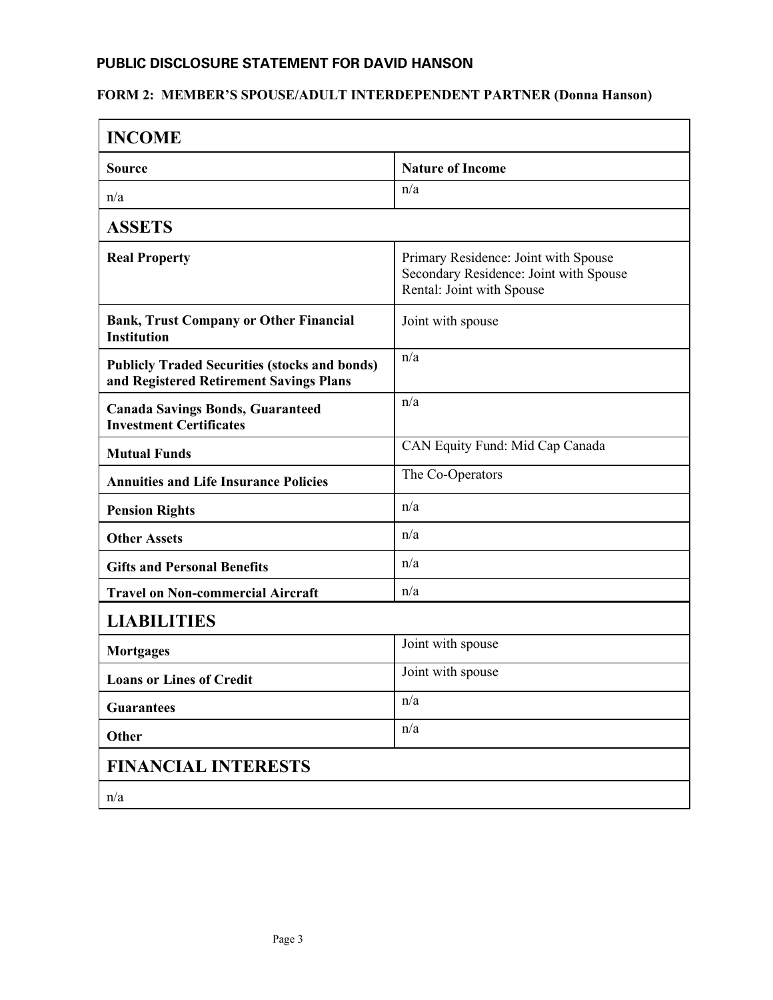## **PUBLIC DISCLOSURE STATEMENT FOR DAVID HANSON**

## **FORM 2: MEMBER'S SPOUSE/ADULT INTERDEPENDENT PARTNER (Donna Hanson)**

| <b>INCOME</b>                                                                                   |                                                                                                             |  |
|-------------------------------------------------------------------------------------------------|-------------------------------------------------------------------------------------------------------------|--|
| <b>Source</b>                                                                                   | <b>Nature of Income</b>                                                                                     |  |
| n/a                                                                                             | n/a                                                                                                         |  |
| <b>ASSETS</b>                                                                                   |                                                                                                             |  |
| <b>Real Property</b>                                                                            | Primary Residence: Joint with Spouse<br>Secondary Residence: Joint with Spouse<br>Rental: Joint with Spouse |  |
| <b>Bank, Trust Company or Other Financial</b><br><b>Institution</b>                             | Joint with spouse                                                                                           |  |
| <b>Publicly Traded Securities (stocks and bonds)</b><br>and Registered Retirement Savings Plans | n/a                                                                                                         |  |
| <b>Canada Savings Bonds, Guaranteed</b><br><b>Investment Certificates</b>                       | n/a                                                                                                         |  |
| <b>Mutual Funds</b>                                                                             | CAN Equity Fund: Mid Cap Canada                                                                             |  |
| <b>Annuities and Life Insurance Policies</b>                                                    | The Co-Operators                                                                                            |  |
| <b>Pension Rights</b>                                                                           | n/a                                                                                                         |  |
| <b>Other Assets</b>                                                                             | n/a                                                                                                         |  |
| <b>Gifts and Personal Benefits</b>                                                              | n/a                                                                                                         |  |
| <b>Travel on Non-commercial Aircraft</b>                                                        | n/a                                                                                                         |  |
| <b>LIABILITIES</b>                                                                              |                                                                                                             |  |
| <b>Mortgages</b>                                                                                | Joint with spouse                                                                                           |  |
| <b>Loans or Lines of Credit</b>                                                                 | Joint with spouse                                                                                           |  |
| <b>Guarantees</b>                                                                               | n/a                                                                                                         |  |
| Other                                                                                           | n/a                                                                                                         |  |
| <b>FINANCIAL INTERESTS</b>                                                                      |                                                                                                             |  |
| n/a                                                                                             |                                                                                                             |  |